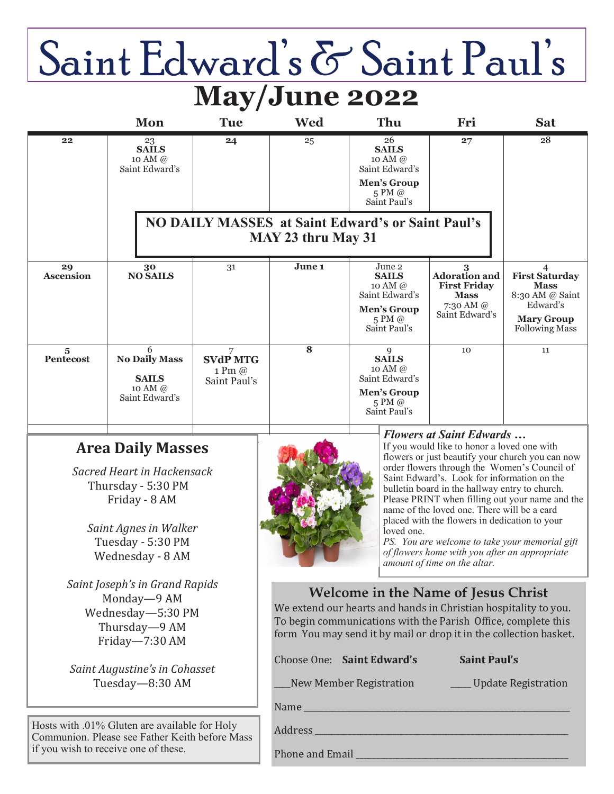# Saint Edward's & Saint Paul's **May/June 2022**

|                                                                                                       | <b>Mon</b>                                                                                                                                                      | <b>Tue</b>                                     | <b>Wed</b>                                                                                                                                                                                                                                          | Thu                                                                                                                                                                                                                                                                                                                                                                                                                                                                                                                                                                                     | Fri                                                                                                    | <b>Sat</b>                                                                                                             |
|-------------------------------------------------------------------------------------------------------|-----------------------------------------------------------------------------------------------------------------------------------------------------------------|------------------------------------------------|-----------------------------------------------------------------------------------------------------------------------------------------------------------------------------------------------------------------------------------------------------|-----------------------------------------------------------------------------------------------------------------------------------------------------------------------------------------------------------------------------------------------------------------------------------------------------------------------------------------------------------------------------------------------------------------------------------------------------------------------------------------------------------------------------------------------------------------------------------------|--------------------------------------------------------------------------------------------------------|------------------------------------------------------------------------------------------------------------------------|
| 22                                                                                                    | 23<br><b>SAILS</b><br>10 AM @<br>Saint Edward's                                                                                                                 | 24                                             | 25                                                                                                                                                                                                                                                  | 26<br><b>SAILS</b><br>10 AM @<br>Saint Edward's<br>Men's Group<br>5 PM @<br>Saint Paul's                                                                                                                                                                                                                                                                                                                                                                                                                                                                                                | 27                                                                                                     | $\overline{28}$                                                                                                        |
|                                                                                                       | <b>NO DAILY MASSES at Saint Edward's or Saint Paul's</b><br>MAY 23 thru May 31                                                                                  |                                                |                                                                                                                                                                                                                                                     |                                                                                                                                                                                                                                                                                                                                                                                                                                                                                                                                                                                         |                                                                                                        |                                                                                                                        |
| 29<br><b>Ascension</b>                                                                                | 30<br><b>NO SAILS</b>                                                                                                                                           | 31                                             | June 1                                                                                                                                                                                                                                              | June 2<br><b>SAILS</b><br>10 AM @<br>Saint Edward's<br><b>Men's Group</b><br>5 PM @<br>Saint Paul's                                                                                                                                                                                                                                                                                                                                                                                                                                                                                     | 3<br><b>Adoration</b> and<br><b>First Friday</b><br><b>Mass</b><br>7:30 AM $\oslash$<br>Saint Edward's | 4<br><b>First Saturday</b><br><b>Mass</b><br>8:30 AM @ Saint<br>Edward's<br><b>Mary Group</b><br><b>Following Mass</b> |
| $\overline{\mathbf{5}}$<br><b>Pentecost</b>                                                           | 6<br><b>No Daily Mass</b><br><b>SAILS</b><br>10 AM @<br>Saint Edward's                                                                                          | 7<br><b>SVdP MTG</b><br>1 Pm @<br>Saint Paul's | $\overline{\mathbf{8}}$                                                                                                                                                                                                                             | 9<br><b>SAILS</b><br>10 AM @<br>Saint Edward's<br><b>Men's Group</b><br>5 PM @<br>Saint Paul's                                                                                                                                                                                                                                                                                                                                                                                                                                                                                          | 10                                                                                                     | 11                                                                                                                     |
|                                                                                                       | <b>Area Daily Masses</b><br>Sacred Heart in Hackensack<br>Thursday - 5:30 PM<br>Friday - 8 AM<br>Saint Agnes in Walker<br>Tuesday - 5:30 PM<br>Wednesday - 8 AM |                                                |                                                                                                                                                                                                                                                     | <b>Flowers at Saint Edwards</b><br>If you would like to honor a loved one with<br>flowers or just beautify your church you can now<br>order flowers through the Women's Council of<br>Saint Edward's. Look for information on the<br>bulletin board in the hallway entry to church.<br>Please PRINT when filling out your name and the<br>name of the loved one. There will be a card<br>placed with the flowers in dedication to your<br>loved one.<br>PS. You are welcome to take your memorial gift<br>of flowers home with you after an appropriate<br>amount of time on the altar. |                                                                                                        |                                                                                                                        |
| Saint Joseph's in Grand Rapids<br>Monday-9 AM<br>Wednesday-5:30 PM<br>Thursday-9 AM<br>Friday-7:30 AM |                                                                                                                                                                 |                                                | <b>Welcome in the Name of Jesus Christ</b><br>We extend our hearts and hands in Christian hospitality to you.<br>To begin communications with the Parish Office, complete this<br>form You may send it by mail or drop it in the collection basket. |                                                                                                                                                                                                                                                                                                                                                                                                                                                                                                                                                                                         |                                                                                                        |                                                                                                                        |

*Saint Augustine's in Cohasset* Tuesday—8:30 AM

Hosts with .01% Gluten are available for Holy Communion. Please see Father Keith before Mass if you wish to receive one of these.



Phone and Email

Choose One: **Saint Edward's Saint Paul's**

\_\_\_\_New Member Registration \_\_\_\_\_ Update Registration

Name